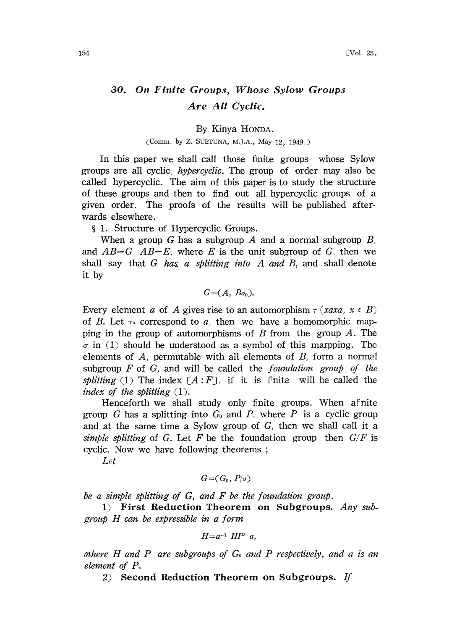## 30. On Finite Groups, Whose Sylow Groups Are All Cyclic.

By Kinya HONDA.

## (Comm. by Z. SUETUNA, M.J.A., May 12, 1949.)

In this paper we shall call those finite groups whose Sylow groups are all cyclic, *hypercyclic*. The group of order may also be called hypercyclic. The aim of this paper is to study the structure of these groups and then to find out all hypercyclic groups of a given order. The proofs of the results will be published afterwards elsewhere.

§ 1. Structure of Hypercyclic Groups.

When a group G has a subgroup A and a normal subgroup  $B$ , and  $AB=G$   $AB=E$ , where E is the unit subgroup of G, then we shall say that  $G$  has a splitting into  $A$  and  $B$ , and shall denote it by

 $G=(A, B\sigma_0).$ 

Every element a of A gives rise to an automorphism  $\tau$  (xaxa,  $x \in B$ ) of B. Let  $\tau_a$  correspond to a, then we have a homomorphic mapping in the group of automorphisms of B from the group A. The  $\sigma$  in (1) should be understood as a symbol of this marpping. The elements of  $A$ , permutable with all elements of  $B$ , form a normal subgroup  $F$  of  $G$ , and will be called the *foundation group of the* splitting (1) The index  $\lceil A \cdot F \rceil$ , if it is finite will be called the index of the splitting  $(1)$ .

Henceforth we shall study only finite groups. When afinite group G has a splitting into  $G_0$  and P, where P is a cyclic group and at the same time a Sylow group of G, then we shall call it a simple splitting of G. Let F be the foundation group then  $G/F$  is cyclic. Now we have following theorems;

Let

$$
G{=}(G_0, P/\sigma)
$$

be <sup>a</sup> simple splitting of G, and F be the foundation group.

1) First Reduction Theorem on Subgroups. Any sub. group H can be expressible in <sup>a</sup> form

$$
H = a^{-1} H P' a,
$$

mhere H and P are subgroups of  $G_0$  and P respectively, and a is an element of P.

2) Second Reduction Theorem on Subgroups. If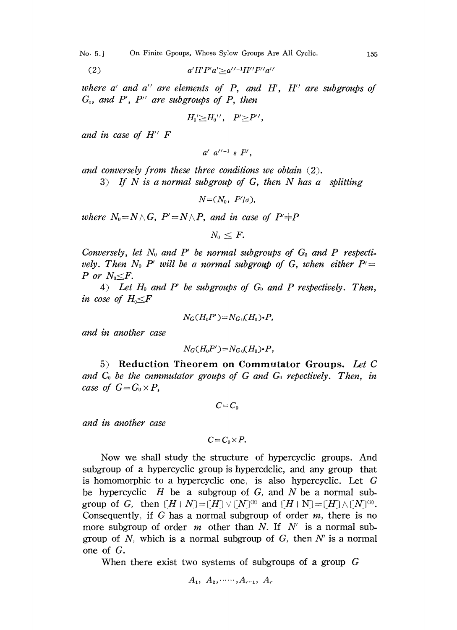No. 5.] On Finite Gpoups, Whose Sylow Groups Are All Cyclic. 155

(2) 
$$
a'H'P'a' \geq a''^{-1}H''P''a''
$$

where  $a'$  and  $a''$  are elements of  $P$ , and  $H'$ ,  $H''$  are subgroups of  $G_e$ , and P', P'' are subgroups of P, then

$$
H_0'\geq H_0''\,,\quad P'\geq P'\,,
$$

and in case of H" F

$$
a' a''^{-1} \varepsilon P',
$$

and conversely from these three conditions we obtain  $(2)$ .

3) If N is a normal subgroup of G, then N has a splitting

 $N=(N_0, P'/\sigma)$ ,

where  $N_0 = N \wedge G$ ,  $P' = N \wedge P$ , and in case of  $P' \neq P$ 

 $N_0 \leq F$ .

Conversely, let  $N_0$  and P' be normal subgroups of  $G_0$  and P respectively. Then  $N_0$  P' will be a normal subgroup of G, when either  $P' =$ P or  $N_0 \leq F$ .

4) Let  $H_0$  and P' be subgroups of  $G_0$  and P respectively. Then, in cose of  $H_0 \leq F$ 

$$
N_G(H_0P')=N_{G_0}(H_0)\cdot P,
$$

and in another case

$$
N_G(H_0P')=N_{G_0}(H_0)\cdot P,
$$

5) Reduction Theorem on Commutator Groups. Let C and  $C_0$  be the commutator groups of G and  $G_0$  repectively. Then, in case of  $G=G_0\times P$ ,

 $C = C_0$ 

and in another case

$$
C\!=\!C_0\!\times\!P.
$$

Now we shall study the structure of hypercyclic groups. And subgroup of a hypercyclic group is hypercdclic, and any group that is homomorphic to <sup>a</sup> hypercyclic one, is also hypercyclic. Let G be hypercyclic  $H$  be a subgroup of  $G$ , and  $N$  be a normal subgroup of G, then  $[H \mid N] = [H] \vee [N]^{\alpha}$  and  $[H \mid N] = [H] \wedge [N]^{\alpha}$ . Consequently, if G has a normal subgroup of order  $m$ , there is no more subgroup of order m other than N. If N' is a normal subgroup of  $N$ , which is a normal subgroup of  $G$ , then  $N'$  is a normal one of G.

When there exist two systems of subgroups of a group G

$$
A_1, A_2, \ldots, A_{r-1}, A_r
$$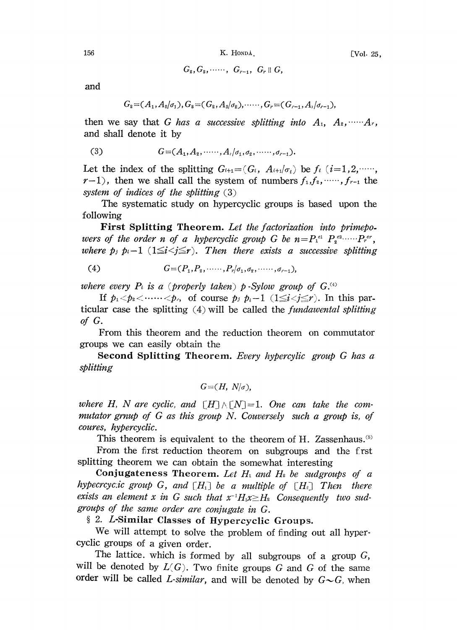$G_2, G_3, \cdots, G_{r-1}, G_r \parallel G_r$ 

and

$$
G_2=(A_1,A_2/\sigma_1), G_3=(G_2,A_3/\sigma_2), \cdots, G_r=(G_{r-1},A_r/\sigma_{r-1}),
$$

then we say that G has a successive splitting into  $A_1, A_2, \dots, A_r$ , and shall denote it by

(3) 
$$
G = (A_1, A_2, \dots, A_n | \sigma_1, \sigma_2, \dots, \sigma_{n-1}).
$$

Let the index of the splitting  $G_{i+1}=(G_i, A_{i+1}/\sigma_i)$  be  $f_i$  (i=1,2, .....  $r-1$ , then we shall call the system of numbers  $f_1, f_2, \dots, f_{r-1}$  the system of indices of the splitting  $(3)$ 

The systematic study on hypercyclic groups is based upon the following

First Splitting Theorem. Let the factorization into primepowers of the order n of a hypercyclic group G be  $n = P_1^{e_1} P_2^{e_2} \cdots P_r^{e_r}$ , where  $p_j$   $p_i-1$   $(1 \leq i < j \leq r)$ . Then there exists a successive splitting

(4) 
$$
G = (P_1, P_2, \cdots, P_r | \sigma_1, \sigma_2, \cdots, \sigma_{r-1}),
$$

where every  $P_i$  is a (properly taken) p-Sylow group of  $G$ .

If  $p_1 < p_2 < \cdots < p_r$ , of course  $p_j$   $p_i-1$  ( $1 \leq i < j \leq r$ ). In this particular case the splitting  $(4)$  will be called the *fundawental splitting* of G.

From this theorem and the reduction theorem on commutator groups we can easily obtain the

Second Splitting Theorem. Every hypercylic group G has a splitting

$$
G = (H, N/\sigma),
$$

where H, N are cyclic, and  $[H] \wedge [N]=1$ . One can take the commutator grnup of G as this group N. Couversely such <sup>a</sup> group is, of coures, hypercyclic.

This theorem is equivalent to the theorem of H. Zassenhaus.<sup>(5)</sup>

From the first reduction theorem on subgroups and the first splitting theorem we can obtain the somewhat interesting

Conjugateness Theorem. Let  $H_1$  and  $H_2$  be sudgroups of a hypecrcycic group G, and  $[H_1]$  be a multiple of  $[H_2]$  Then there exists an element x in G such that  $x^{-1}H_1x \geq H_2$  Consequently two sudgroups of the same order are conjugate in G.

2. L-Similar Classes of Hypercyclic Groups.

We will attempt to solve the problem of finding out all hypercyclic groups of a given order.

The lattice, which is formed by all subgroups of a group  $G$ , will be denoted by  $L(G)$ . Two finite groups G and G of the same order will be called L-similar, and will be denoted by  $G \sim G$ , when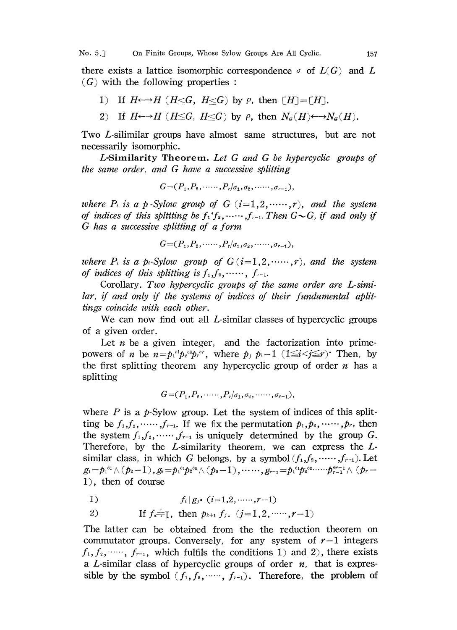there exists a lattice isomorphic correspondence  $\sigma$  of  $L(G)$  and L  $(G)$  with the following properties:

- 1) If  $H \rightarrow H$  ( $H \leq G$ ,  $H \leq G$ ) by  $\rho$ , then  $\lceil H \rceil = \lceil H \rceil$ .
- 2) If  $H \leftarrow \rightarrow H$  ( $H \leq G$ ,  $H \leq G$ ) by  $\rho$ , then  $N_{\sigma}(H) \leftarrow \rightarrow N_{\sigma}(H)$ .

Two L-silimilar groups have almost same structures, but are not necessarily isomorphic.

L-Similarity Theorem. Let G and G be hypercyclic groups of the same order, and G have a successive splitting

 $G=(P_1,P_2, \ldots, P_r/\sigma_1,\sigma_2, \ldots, \sigma_{r-1}),$ 

where  $P_i$  is a p-Sylow group of  $G$   $(i=1,2, \ldots, r)$ , and the system of indices of this splitting be  $f_1 f_2, \dots, f_{i-1}$ . Then  $G \sim G$ , if and only if G has <sup>a</sup> successive splitting of <sup>a</sup> form

$$
G = (P_1, P_2, \cdots, P_r | \sigma_1, \sigma_2, \cdots, \sigma_{r-1}),
$$

where  $P_i$  is a p-Sylow group of  $G(i=1,2, \dots, r)$ , and the system of indices of this splitting is  $f_1, f_2, \cdots, f_{i-1}$ .

Corollary. Two hypercyclic groups of the same order are L-similar, if and only if the systems of indices of their fundumental aplittings coincide with each other.

We can now find out all  $L$ -similar classes of hypercyclic groups of a given order.

Let  $n$  be a given integer, and the factorization into primepowers of *n* be  $n = p_1^{e_1} p_2^{e_2} p_r^{e_r}$ , where  $p_i p_i-1$  ( $1 \le i < j \le r$ ) Then, by the first splitting theorem any hypercyclic group of order  $n$  has a splitting

 $G = (P_1, P_2, \ldots, P_r | \sigma_1, \sigma_2, \ldots, \sigma_{r-1}),$ 

where  $P$  is a  $p$ -Sylow group. Let the system of indices of this splitting be  $f_1, f_2, \dots, f_{r-1}$ . If we fix the permutation  $p_1, p_2, \dots, p_r$ , then the system  $f_1, f_2, \dots, f_{r-1}$  is uniquely determined by the group G. Therefore, by the  $L$ -similarity theorem, we can express the  $L$ similar class, in which G belongs, by a symbol  $(f_1, f_2, \dots, f_{r-1})$ . Let  $g_1=p_1^{e_1}\wedge (p_2-1)$ ,  $g_2=p_1^{e_1}p_2^{e_2}\wedge (p_3-1)$ ,  $\cdots\cdots$ ,  $g_{r-1}=p_1^{e_1}p_2^{e_2}\cdots\cdots p_{r-1}^{er-1}\wedge (p_r-1)$ 1), then of course

1)  $f_i|g_j \cdot (i=1,2, \ldots, r-1)$ 

2) If 
$$
f_k \neq I
$$
, then  $p_{k+1} f_j$ ,  $(j=1,2, \dots, r-1)$ 

The latter can be obtained from the the reduction theorem on commutator groups. Conversely, for any system of  $r-1$  integers  $f_1, f_2, \dots, f_{r-1}$ , which fulfils the conditions 1) and 2), there exists a L-similar class of hypercyclic groups of order  $n$ , that is expressible by the symbol  $(f_1, f_2, \dots, f_{r-1})$ . Therefore, the problem of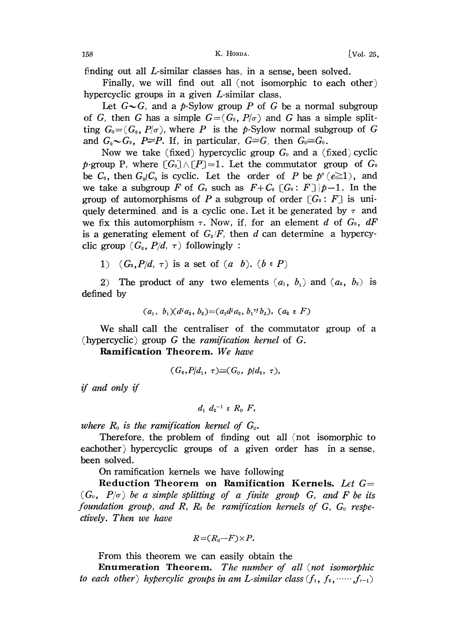finding out all L-similar classes has, in a sense, been solved.

Finally, we will find out all (not isomorphic to each other) hypercyclic groups in a given L-similar class.

Let  $G\sim G$ , and a p-Sylow group P of G be a normal subgroup of G, then G has a simple  $G=(G_0, P/\sigma)$  and G has a simple splitting  $G_0 = (G_0, P/\sigma)$ , where P is the p-Sylow normal subgroup of G and  $G_0 \sim G_0$ ,  $P \cong P$ . If, in particular,  $G \cong G$ , then  $G_0 \cong G_0$ .

Now we take (fixed) hypercyclic group  $G_0$  and a (fixed)cyclic p-group P, where  $[G_0] \wedge [P]=1$ . Let the commutator group of  $G_0$ be  $C_0$ , then  $G_0/C_0$  is cyclic. Let the order of P be  $p^e(e\geq 1)$ , and we take a subgroup F of  $G_0$  such as  $F+G_0[G_0:F]\$   $p-1$ . In the group of automorphisms of P a subgroup of order  $[G_0: F]$  is uniquely determined, and is a cyclic one. Let it be generated by  $\tau$  and we fix this automorphism  $\tau$ . Now, if, for an element d of  $G_0$ , dF is a generating element of  $G_0/F$ , then d can determine a hypercyclic group  $(G_0, P/d, \tau)$  followingly:

1)  $(G_0, P/d, \tau)$  is a set of  $(a, b)$ .  $(b \in P)$ 

2) The product of any two elements  $(a_1, b_1)$  and  $(a_2, b_2)$  is defined by

$$
(a_1, b_1)(d^i a_2, b_2)=(a_1d^i a_2, b_1^{\tau} b_2). (a_2 \in F)
$$

We shall call the centraliser of the commutator group of <sup>a</sup> (hypercyclic) group  $G$  the *ramification kernel* of  $G$ .

Ramification Theorem. We have

$$
(G_0, P/d_1, \tau) \cong (G_0, \; p/d_2, \; \tau),
$$

if and only if

 $d_1 d_2^{-1} \in R_0$  F,

where  $R_0$  is the ramification kernel of  $G_0$ .

Therefore, the problem of finding out all (not isomorphic to eachother) hypercyclic groups of a given order has in a sense, been solved.

On ramification kernels we have following

Reduction Theorem on Ramification Kernels, Let  $G=$  $(G_0, P/\sigma)$  be a simple splitting of a finite group G, and F be its foundation group, and  $R$ ,  $R_0$  be ramification kernels of  $G$ ,  $G_0$  respectively. Then we have

$$
R = (R_0 - F) \times P.
$$

From this theorem we can easily obtain the

Enumeration Theorem. The number of all (not isomorphic to each other) hypercylic groups in am L-similar class  $(f_1, f_2, \dots, f_{r-1})$